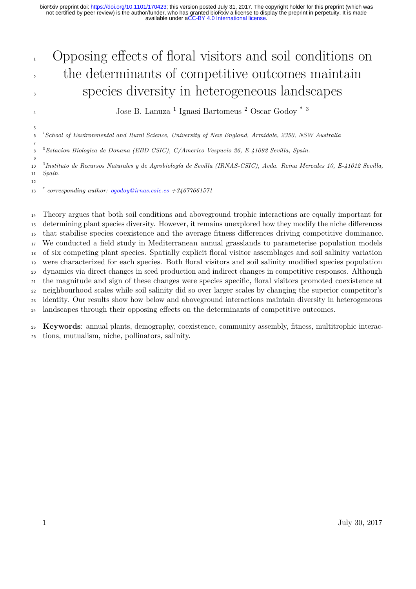# Opposing effects of floral visitors and soil conditions on <sup>2</sup> the determinants of competitive outcomes maintain species diversity in heterogeneous landscapes

Jose B. Lanuza <sup>1</sup> Ignasi Bartomeus <sup>2</sup> Oscar Godoy \* 3

*<sup>1</sup> School of Environmental and Rural Science, University of New England, Armidale, 2350, NSW Australia*

*<sup>2</sup> Estacion Biologica de Donana (EBD-CSIC), C/Americo Vespucio 26, E-41092 Sevilla, Spain.*

*<sup>3</sup> Instituto de Recursos Naturales y de Agrobiología de Sevilla (IRNAS-CSIC), Avda. Reina Mercedes 10, E-41012 Sevilla, Spain.*

 $\overline{q}$ 

*\* corresponding author: [ogodoy@irnas.csic.es](mailto:ogodoy@irnas.csic.es) +34677661571*

 Theory argues that both soil conditions and aboveground trophic interactions are equally important for 15 determining plant species diversity. However, it remains unexplored how they modify the niche differences that stabilise species coexistence and the average fitness dierences driving competitive dominance. We conducted a field study in Mediterranean annual grasslands to parameterise population models of six competing plant species. Spatially explicit floral visitor assemblages and soil salinity variation were characterized for each species. Both floral visitors and soil salinity modified species population dynamics via direct changes in seed production and indirect changes in competitive responses. Although the magnitude and sign of these changes were species specific, floral visitors promoted coexistence at neighbourhood scales while soil salinity did so over larger scales by changing the superior competitor's identity. Our results show how below and aboveground interactions maintain diversity in heterogeneous <sup>24</sup> landscapes through their opposing effects on the determinants of competitive outcomes.

 **Keywords**: annual plants, demography, coexistence, community assembly, fitness, multitrophic interac-tions, mutualism, niche, pollinators, salinity.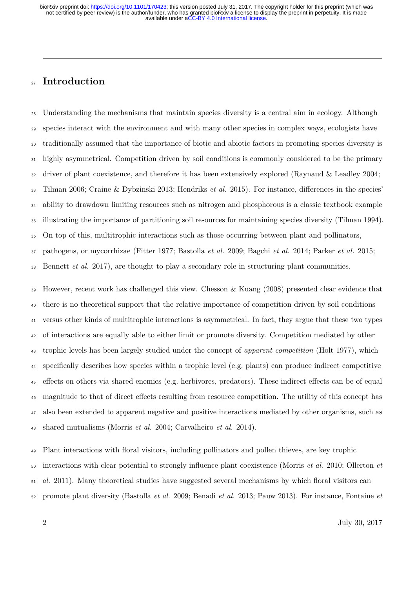### **Introduction**

 Understanding the mechanisms that maintain species diversity is a central aim in ecology. Although species interact with the environment and with many other species in complex ways, ecologists have traditionally assumed that the importance of biotic and abiotic factors in promoting species diversity is highly asymmetrical. Competition driven by soil conditions is commonly considered to be the primary driver of plant coexistence, and therefore it has been extensively explored (Raynaud & Leadley 2004; 33 Tilman 2006; Craine & Dybzinski 2013; Hendriks *et al.* 2015). For instance, differences in the species' ability to drawdown limiting resources such as nitrogen and phosphorous is a classic textbook example illustrating the importance of partitioning soil resources for maintaining species diversity (Tilman 1994). On top of this, multitrophic interactions such as those occurring between plant and pollinators, pathogens, or mycorrhizae (Fitter 1977; Bastolla *et al.* 2009; Bagchi *et al.* 2014; Parker *et al.* 2015; Bennett *et al.* 2017), are thought to play a secondary role in structuring plant communities.

 However, recent work has challenged this view. Chesson & Kuang (2008) presented clear evidence that there is no theoretical support that the relative importance of competition driven by soil conditions versus other kinds of multitrophic interactions is asymmetrical. In fact, they argue that these two types of interactions are equally able to either limit or promote diversity. Competition mediated by other trophic levels has been largely studied under the concept of *apparent competition* (Holt 1977), which specifically describes how species within a trophic level (e.g. plants) can produce indirect competitive <sup>45</sup> effects on others via shared enemies (e.g. herbivores, predators). These indirect effects can be of equal <sup>46</sup> magnitude to that of direct effects resulting from resource competition. The utility of this concept has also been extended to apparent negative and positive interactions mediated by other organisms, such as shared mutualisms (Morris *et al.* 2004; Carvalheiro *et al.* 2014).

 Plant interactions with floral visitors, including pollinators and pollen thieves, are key trophic interactions with clear potential to strongly influence plant coexistence (Morris *et al.* 2010; Ollerton *et al.* 2011). Many theoretical studies have suggested several mechanisms by which floral visitors can promote plant diversity (Bastolla *et al.* 2009; Benadi *et al.* 2013; Pauw 2013). For instance, Fontaine *et*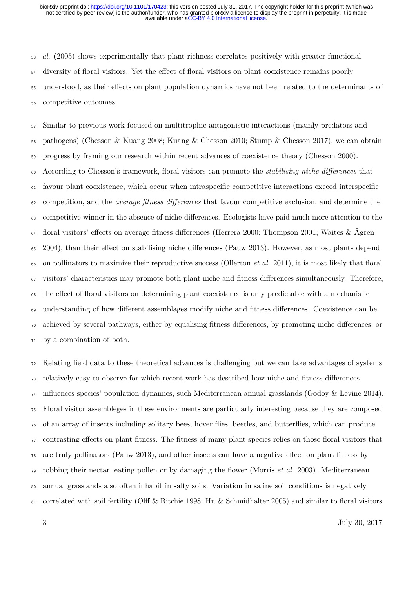*al.* (2005) shows experimentally that plant richness correlates positively with greater functional 54 diversity of floral visitors. Yet the effect of floral visitors on plant coexistence remains poorly 55 understood, as their effects on plant population dynamics have not been related to the determinants of competitive outcomes.

 Similar to previous work focused on multitrophic antagonistic interactions (mainly predators and pathogens) (Chesson & Kuang 2008; Kuang & Chesson 2010; Stump & Chesson 2017), we can obtain progress by framing our research within recent advances of coexistence theory (Chesson 2000). According to Chesson's framework, floral visitors can promote the *stabilising niche dierences* that favour plant coexistence, which occur when intraspecific competitive interactions exceed interspecific competition, and the *average fitness dierences* that favour competitive exclusion, and determine the 63 competitive winner in the absence of niche differences. Ecologists have paid much more attention to the floral visitors' effects on average fitness differences (Herrera 2000; Thompson 2001; Waites & Ågren <sup>65</sup> 2004), than their effect on stabilising niche differences (Pauw 2013). However, as most plants depend on pollinators to maximize their reproductive success (Ollerton *et al.* 2011), it is most likely that floral visitors' characteristics may promote both plant niche and fitness dierences simultaneously. Therefore, <sup>68</sup> the effect of floral visitors on determining plant coexistence is only predictable with a mechanistic <sup>69</sup> understanding of how different assemblages modify niche and fitness differences. Coexistence can be achieved by several pathways, either by equalising fitness dierences, by promoting niche dierences, or by a combination of both.

 Relating field data to these theoretical advances is challenging but we can take advantages of systems relatively easy to observe for which recent work has described how niche and fitness dierences influences species' population dynamics, such Mediterranean annual grasslands (Godoy & Levine 2014). Floral visitor assembleges in these environments are particularly interesting because they are composed of an array of insects including solitary bees, hover flies, beetles, and butterflies, which can produce  $\pi$  contrasting effects on plant fitness. The fitness of many plant species relies on those floral visitors that are truly pollinators (Pauw 2013), and other insects can have a negative effect on plant fitness by robbing their nectar, eating pollen or by damaging the flower (Morris *et al.* 2003). Mediterranean annual grasslands also often inhabit in salty soils. Variation in saline soil conditions is negatively 81 correlated with soil fertility (Olff & Ritchie 1998; Hu & Schmidhalter 2005) and similar to floral visitors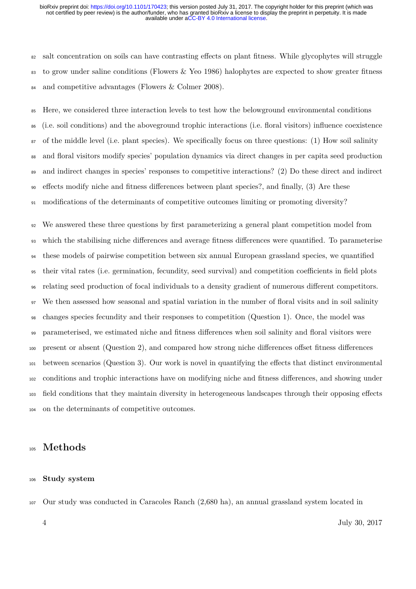<sup>82</sup> salt concentration on soils can have contrasting effects on plant fitness. While glycophytes will struggle to grow under saline conditions (Flowers & Yeo 1986) halophytes are expected to show greater fitness and competitive advantages (Flowers & Colmer 2008).

 Here, we considered three interaction levels to test how the belowground environmental conditions (i.e. soil conditions) and the aboveground trophic interactions (i.e. floral visitors) influence coexistence of the middle level (i.e. plant species). We specifically focus on three questions: (1) How soil salinity and floral visitors modify species' population dynamics via direct changes in per capita seed production and indirect changes in species' responses to competitive interactions? (2) Do these direct and indirect <sup>90</sup> effects modify niche and fitness differences between plant species?, and finally, (3) Are these 91 modifications of the determinants of competitive outcomes limiting or promoting diversity?

 We answered these three questions by first parameterizing a general plant competition model from 93 which the stabilising niche differences and average fitness differences were quantified. To parameterise these models of pairwise competition between six annual European grassland species, we quantified <sup>95</sup> their vital rates (i.e. germination, fecundity, seed survival) and competition coefficients in field plots relating seed production of focal individuals to a density gradient of numerous dierent competitors. We then assessed how seasonal and spatial variation in the number of floral visits and in soil salinity changes species fecundity and their responses to competition (Question 1). Once, the model was parameterised, we estimated niche and fitness dierences when soil salinity and floral visitors were 100 present or absent (Question 2), and compared how strong niche differences offset fitness differences between scenarios (Question 3). Our work is novel in quantifying the eects that distinct environmental conditions and trophic interactions have on modifying niche and fitness dierences, and showing under 103 field conditions that they maintain diversity in heterogeneous landscapes through their opposing effects on the determinants of competitive outcomes.

### **Methods**

#### **Study system**

Our study was conducted in Caracoles Ranch (2,680 ha), an annual grassland system located in

July 30, 2017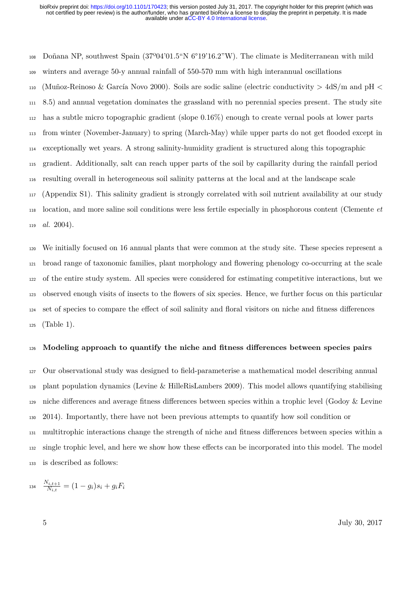Doñana NP, southwest Spain (37º04'01.5"N 6°19'16.2"W). The climate is Mediterranean with mild winters and average 50-y annual rainfall of 550-570 mm with high interannual oscillations (Muñoz-Reinoso & García Novo 2000). Soils are sodic saline (electric conductivity > 4dS/m and pH < 8.5) and annual vegetation dominates the grassland with no perennial species present. The study site has a subtle micro topographic gradient (slope 0.16%) enough to create vernal pools at lower parts from winter (November-January) to spring (March-May) while upper parts do not get flooded except in exceptionally wet years. A strong salinity-humidity gradient is structured along this topographic gradient. Additionally, salt can reach upper parts of the soil by capillarity during the rainfall period resulting overall in heterogeneous soil salinity patterns at the local and at the landscape scale (Appendix S1). This salinity gradient is strongly correlated with soil nutrient availability at our study location, and more saline soil conditions were less fertile especially in phosphorous content (Clemente *et al.* 2004).

 We initially focused on 16 annual plants that were common at the study site. These species represent a broad range of taxonomic families, plant morphology and flowering phenology co-occurring at the scale of the entire study system. All species were considered for estimating competitive interactions, but we observed enough visits of insects to the flowers of six species. Hence, we further focus on this particular set of species to compare the eect of soil salinity and floral visitors on niche and fitness dierences (Table 1).

#### **Modeling approach to quantify the niche and fitness dierences between species pairs**

 Our observational study was designed to field-parameterise a mathematical model describing annual plant population dynamics (Levine & HilleRisLambers 2009). This model allows quantifying stabilising niche differences and average fitness differences between species within a trophic level (Godoy & Levine 2014). Importantly, there have not been previous attempts to quantify how soil condition or multitrophic interactions change the strength of niche and fitness dierences between species within a 132 single trophic level, and here we show how these effects can be incorporated into this model. The model is described as follows:

$$
134 \quad \frac{N_{i,t+1}}{N_{i,t}} = (1 - g_i)s_i + g_iF_i
$$

July 30, 2017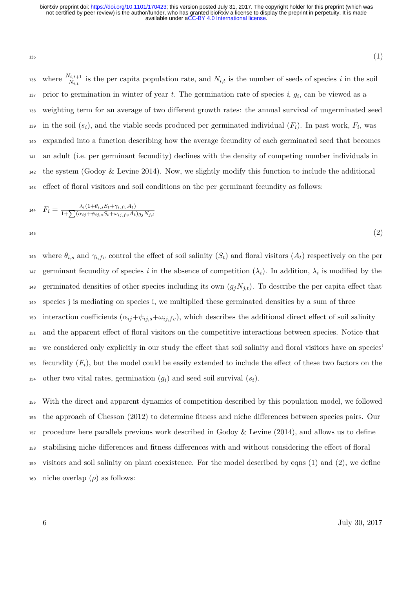$_{135}$  (1)

<sup>136</sup> where  $\frac{N_{i,t+1}}{N_{i,t}}$  is the per capita population rate, and  $N_{i,t}$  is the number of seeds of species *i* in the soil prior to germination in winter of year  $t$ . The germination rate of species  $i$ ,  $g_i$ , can be viewed as a <sup>138</sup> weighting term for an average of two dierent growth rates: the annual survival of ungerminated seed is in the soil  $(s_i)$ , and the viable seeds produced per germinated individual  $(F_i)$ . In past work,  $F_i$ , was <sup>140</sup> expanded into a function describing how the average fecundity of each germinated seed that becomes <sup>141</sup> an adult (i.e. per germinant fecundity) declines with the density of competing number individuals in <sup>142</sup> the system (Godoy & Levine 2014). Now, we slightly modify this function to include the additional <sup>143</sup> effect of floral visitors and soil conditions on the per germinant fecundity as follows:

$$
F_i = \frac{\lambda_i (1 + \theta_{i,s} S_t + \gamma_{i,fv} A_t)}{1 + \sum (\alpha_{ij} + \psi_{ij,s} S_t + \omega_{ij,fv} A_t) g_j N_{j,t}}
$$
\n
$$
(2)
$$

<sup>146</sup> where  $\theta_{i,s}$  and  $\gamma_{i,fv}$  control the effect of soil salinity  $(S_t)$  and floral visitors  $(A_t)$  respectively on the per germinant fecundity of species *i* in the absence of competition  $(\lambda_i)$ . In addition,  $\lambda_i$  is modified by the 148 germinated densities of other species including its own  $(g_iN_{j,t})$ . To describe the per capita effect that <sup>149</sup> species j is mediating on species i, we multiplied these germinated densities by a sum of three 150 interaction coefficients  $(\alpha_{ij}+\psi_{ij,s}+\omega_{ij,fv})$ , which describes the additional direct effect of soil salinity <sup>151</sup> and the apparent eect of floral visitors on the competitive interactions between species. Notice that <sup>152</sup> we considered only explicitly in our study the eect that soil salinity and floral visitors have on species' 153 fecundity  $(F_i)$ , but the model could be easily extended to include the effect of these two factors on the 154 other two vital rates, germination  $(g_i)$  and seed soil survival  $(s_i)$ .

<sup>155</sup> With the direct and apparent dynamics of competition described by this population model, we followed 156 the approach of Chesson (2012) to determine fitness and niche differences between species pairs. Our <sup>157</sup> procedure here parallels previous work described in Godoy & Levine (2014), and allows us to define 158 stabilising niche differences and fitness differences with and without considering the effect of floral <sup>159</sup> visitors and soil salinity on plant coexistence. For the model described by eqns (1) and (2), we define 160 niche overlap  $(\rho)$  as follows: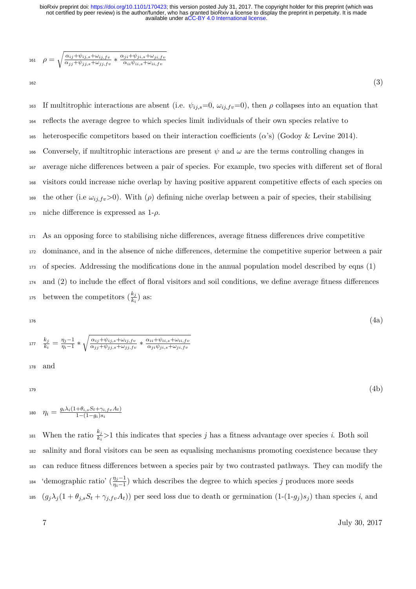161 
$$
\rho = \sqrt{\frac{\alpha_{ij} + \psi_{ij,s} + \omega_{ij,fv}}{\alpha_{jj} + \psi_{jj,s} + \omega_{jj,fv}} * \frac{\alpha_{ji} + \psi_{ji,s} + \omega_{ji,fv}}{\alpha_{ii}\psi_{ii,s} + \omega_{ii,fv}}
$$

 $_{162}$  (3)

163 If multitrophic interactions are absent (i.e.  $\psi_{ij,s}=0$ ,  $\omega_{ij,f}v=0$ ), then  $\rho$  collapses into an equation that <sup>164</sup> reflects the average degree to which species limit individuals of their own species relative to 165 heterospecific competitors based on their interaction coefficients  $(\alpha)$  (Godoy & Levine 2014). 166 Conversely, if multitrophic interactions are present  $\psi$  and  $\omega$  are the terms controlling changes in <sup>167</sup> average niche differences between a pair of species. For example, two species with different set of floral 168 visitors could increase niche overlap by having positive apparent competitive effects of each species on 169 the other (i.e  $\omega_{i,j,fv} > 0$ ). With ( $\rho$ ) defining niche overlap between a pair of species, their stabilising  $170$  niche difference is expressed as  $1-\rho$ .

 As an opposing force to stabilising niche dierences, average fitness dierences drive competitive dominance, and in the absence of niche dierences, determine the competitive superior between a pair of species. Addressing the modifications done in the annual population model described by eqns (1) and (2) to include the effect of floral visitors and soil conditions, we define average fitness differences <sup>175</sup> between the competitors  $(\frac{k_j}{k_i})$  as:

176  
\n
$$
\frac{k_j}{k_i} = \frac{\eta_j - 1}{\eta_i - 1} * \sqrt{\frac{\alpha_{ij} + \psi_{ij,s} + \omega_{ij,fv}}{\alpha_{jj} + \psi_{jj,s} + \omega_{jj,fv}}} * \frac{\alpha_{ii} + \psi_{ii,s} + \omega_{ii,fv}}{\alpha_{ji} \psi_{ji,s} + \omega_{ji,fv}}
$$
\n178 and

 $_{179}\qquad \qquad (4b)$ 

$$
\qquad \qquad \eta_i = \tfrac{g_i\lambda_i(1+\theta_{i,s}S_t+\gamma_{i,fv}A_t)}{1-(1-g_i)s_i}
$$

<sup>181</sup> When the ratio  $\frac{k_j}{k_i} > 1$  this indicates that species *j* has a fitness advantage over species *i*. Both soil <sup>182</sup> salinity and floral visitors can be seen as equalising mechanisms promoting coexistence because they <sup>183</sup> can reduce fitness dierences between a species pair by two contrasted pathways. They can modify the <sup>184</sup> 'demographic ratio'  $(\frac{\eta_j-1}{\eta_i-1})$  which describes the degree to which species *j* produces more seeds 185  $(g_j \lambda_j (1 + \theta_{j,s} S_t + \gamma_{j,fv} A_t))$  per seed loss due to death or germination  $(1-(1-g_j)s_j)$  than species i, and

7 July 30, 2017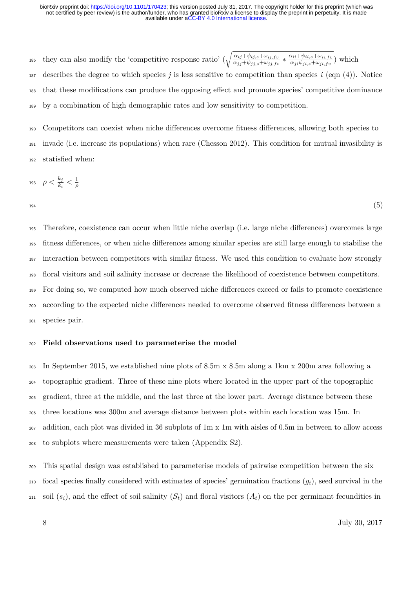186 they can also modify the 'competitive response ratio'  $(\sqrt{\frac{\alpha_{ij}+\psi_{ij,s}+\omega_{ij,fv}}{\alpha_{jj}+\psi_{jj,s}+\omega_{jj,fv}}*\frac{\alpha_{ii}+\psi_{ii,s}+\omega_{ii,fv}}{\alpha_{ji}\psi_{ji,s}+\omega_{ji,fv}})$  which describes the degree to which species *j* is less sensitive to competition than species *i* (eqn (4)). Notice <sup>188</sup> that these modifications can produce the opposing effect and promote species' competitive dominance by a combination of high demographic rates and low sensitivity to competition.

 Competitors can coexist when niche dierences overcome fitness dierences, allowing both species to invade (i.e. increase its populations) when rare (Chesson 2012). This condition for mutual invasibility is statisfied when:

$$
_{193}\quad\rho<\tfrac{k_j}{k_i}<\tfrac{1}{\rho}
$$

 $_{194}$ 

 Therefore, coexistence can occur when little niche overlap (i.e. large niche dierences) overcomes large fitness dierences, or when niche dierences among similar species are still large enough to stabilise the interaction between competitors with similar fitness. We used this condition to evaluate how strongly floral visitors and soil salinity increase or decrease the likelihood of coexistence between competitors. For doing so, we computed how much observed niche dierences exceed or fails to promote coexistence <sub>200</sub> according to the expected niche differences needed to overcome observed fitness differences between a species pair.

#### **Field observations used to parameterise the model**

 In September 2015, we established nine plots of 8.5m x 8.5m along a 1km x 200m area following a topographic gradient. Three of these nine plots where located in the upper part of the topographic gradient, three at the middle, and the last three at the lower part. Average distance between these three locations was 300m and average distance between plots within each location was 15m. In addition, each plot was divided in 36 subplots of 1m x 1m with aisles of 0.5m in between to allow access to subplots where measurements were taken (Appendix S2).

 This spatial design was established to parameterise models of pairwise competition between the six focal species finally considered with estimates of species' germination fractions (*gi*), seed survival in the soil  $(s_i)$ , and the effect of soil salinity  $(S_t)$  and floral visitors  $(A_t)$  on the per germinant fecundities in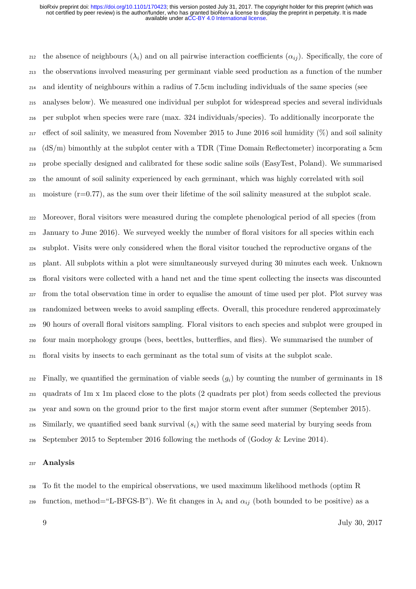<sup>212</sup> the absence of neighbours  $(\lambda_i)$  and on all pairwise interaction coefficients  $(\alpha_{ij})$ . Specifically, the core of the observations involved measuring per germinant viable seed production as a function of the number and identity of neighbours within a radius of 7.5cm including individuals of the same species (see analyses below). We measured one individual per subplot for widespread species and several individuals per subplot when species were rare (max. 324 individuals/species). To additionally incorporate the 217 effect of soil salinity, we measured from November 2015 to June 2016 soil humidity  $(\%)$  and soil salinity (dS/m) bimonthly at the subplot center with a TDR (Time Domain Reflectometer) incorporating a 5cm probe specially designed and calibrated for these sodic saline soils (EasyTest, Poland). We summarised the amount of soil salinity experienced by each germinant, which was highly correlated with soil moisture (r=0.77), as the sum over their lifetime of the soil salinity measured at the subplot scale.

 Moreover, floral visitors were measured during the complete phenological period of all species (from January to June 2016). We surveyed weekly the number of floral visitors for all species within each subplot. Visits were only considered when the floral visitor touched the reproductive organs of the plant. All subplots within a plot were simultaneously surveyed during 30 minutes each week. Unknown floral visitors were collected with a hand net and the time spent collecting the insects was discounted from the total observation time in order to equalise the amount of time used per plot. Plot survey was <sub>228</sub> randomized between weeks to avoid sampling effects. Overall, this procedure rendered approximately 90 hours of overall floral visitors sampling. Floral visitors to each species and subplot were grouped in four main morphology groups (bees, beettles, butterflies, and flies). We summarised the number of floral visits by insects to each germinant as the total sum of visits at the subplot scale.

 $_{232}$  Finally, we quantified the germination of viable seeds  $(q_i)$  by counting the number of germinants in 18 quadrats of 1m x 1m placed close to the plots (2 quadrats per plot) from seeds collected the previous year and sown on the ground prior to the first major storm event after summer (September 2015). Similarly, we quantified seed bank survival  $(s_i)$  with the same seed material by burying seeds from September 2015 to September 2016 following the methods of (Godoy & Levine 2014).

#### **Analysis**

 To fit the model to the empirical observations, we used maximum likelihood methods (optim R 239 function, method="L-BFGS-B"). We fit changes in  $\lambda_i$  and  $\alpha_{ij}$  (both bounded to be positive) as a

July 30, 2017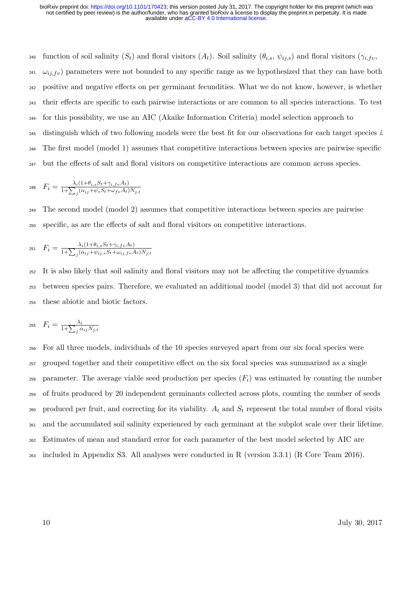240 function of soil salinity  $(S_t)$  and floral visitors  $(A_t)$ . Soil salinity  $(\theta_{i,s}, \psi_{i,j,s})$  and floral visitors  $(\gamma_{i,fv}, \gamma_{i,j,s})$ <sup>241</sup>  $\omega_{i,j}$  parameters were not bounded to any specific range as we hypothesized that they can have both 242 positive and negative effects on per germinant fecundities. What we do not know, however, is whether <sub>243</sub> their effects are specific to each pairwise interactions or are common to all species interactions. To test <sup>244</sup> for this possibility, we use an AIC (Akaike Information Criteria) model selection approach to <sup>245</sup> distinguish which of two following models were the best fit for our observations for each target species *i*. <sup>246</sup> The first model (model 1) assumes that competitive interactions between species are pairwise specific  $_{247}$  but the effects of salt and floral visitors on competitive interactions are common across species.

$$
P_i = \frac{\lambda_i (1 + \theta_{i,s} S_t + \gamma_{i,fv} A_t)}{1 + \sum_j (\alpha_{ij} + \psi_s S_t + \omega_{fv} A_t) N_{j,t}}
$$

<sup>249</sup> The second model (model 2) assumes that competitive interactions between species are pairwise <sup>250</sup> specific, as are the eects of salt and floral visitors on competitive interactions.

251 
$$
F_i = \frac{\lambda_i (1 + \theta_{i,s} S_t + \gamma_{i,fv} A_t)}{1 + \sum_j (\alpha_{ij} + \psi_{ij,s} S_t + \omega_{ij,fv} A_t) N_{j,t}}
$$

<sup>252</sup> It is also likely that soil salinity and floral visitors may not be affecting the competitive dynamics <sup>253</sup> between species pairs. Therefore, we evaluated an additional model (model 3) that did not account for <sup>254</sup> these abiotic and biotic factors.

$$
_{255} \quad F_i = \tfrac{\lambda_i}{1 + \sum_j \alpha_{ij} N_{j,t}}
$$

 For all three models, individuals of the 10 species surveyed apart from our six focal species were <sup>257</sup> grouped together and their competitive effect on the six focal species was summarized as a single 258 parameter. The average viable seed production per species  $(F_i)$  was estimated by counting the number of fruits produced by 20 independent germinants collected across plots, counting the number of seeds 260 produced per fruit, and correcting for its viability.  $A_t$  and  $S_t$  represent the total number of floral visits and the accumulated soil salinity experienced by each germinant at the subplot scale over their lifetime. Estimates of mean and standard error for each parameter of the best model selected by AIC are included in Appendix S3. All analyses were conducted in R (version 3.3.1) (R Core Team 2016).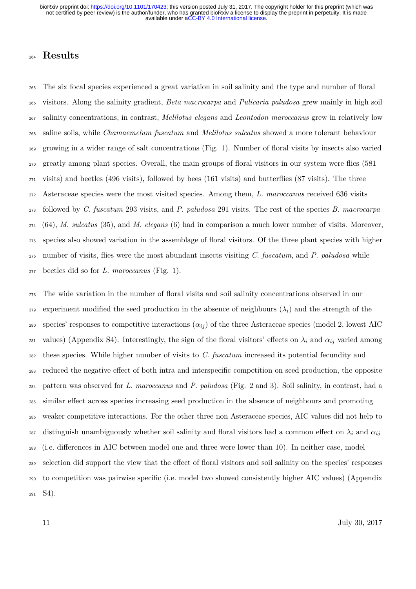### **Results**

 The six focal species experienced a great variation in soil salinity and the type and number of floral visitors. Along the salinity gradient, *Beta macrocarpa* and *Pulicaria paludosa* grew mainly in high soil salinity concentrations, in contrast, *Melilotus elegans* and *Leontodon maroccanus* grew in relatively low saline soils, while *Chamaemelum fuscatum* and *Melilotus sulcatus* showed a more tolerant behaviour growing in a wider range of salt concentrations (Fig. 1). Number of floral visits by insects also varied greatly among plant species. Overall, the main groups of floral visitors in our system were flies (581 visits) and beetles (496 visits), followed by bees (161 visits) and butterflies (87 visits). The three Asteraceae species were the most visited species. Among them, *L. maroccanus* received 636 visits followed by *C. fuscatum* 293 visits, and *P. paludosa* 291 visits. The rest of the species *B. macrocarpa* (64), *M. sulcatus* (35), and *M. elegans* (6) had in comparison a much lower number of visits. Moreover, species also showed variation in the assemblage of floral visitors. Of the three plant species with higher number of visits, flies were the most abundant insects visiting *C. fuscatum*, and *P. paludosa* while beetles did so for *L. maroccanus* (Fig. 1).

 The wide variation in the number of floral visits and soil salinity concentrations observed in our <sup>279</sup> experiment modified the seed production in the absence of neighbours  $(\lambda_i)$  and the strength of the 280 species' responses to competitive interactions  $(\alpha_{ij})$  of the three Asteraceae species (model 2, lowest AIC 281 values) (Appendix S4). Interestingly, the sign of the floral visitors' effects on  $\lambda_i$  and  $\alpha_{ij}$  varied among these species. While higher number of visits to *C. fuscatum* increased its potential fecundity and 283 reduced the negative effect of both intra and interspecific competition on seed production, the opposite pattern was observed for *L. maroccanus* and *P. paludosa* (Fig. 2 and 3). Soil salinity, in contrast, had a 285 similar effect across species increasing seed production in the absence of neighbours and promoting weaker competitive interactions. For the other three non Asteraceae species, AIC values did not help to 287 distinguish unambiguously whether soil salinity and floral visitors had a common effect on  $\lambda_i$  and  $\alpha_{ij}$ 288 (i.e. differences in AIC between model one and three were lower than 10). In neither case, model selection did support the view that the eect of floral visitors and soil salinity on the species' responses to competition was pairwise specific (i.e. model two showed consistently higher AIC values) (Appendix S4).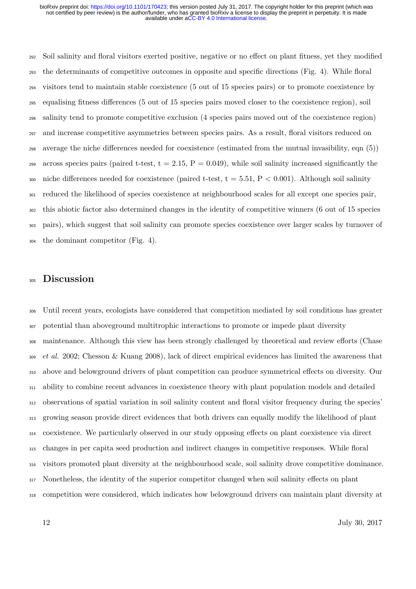<sup>292</sup> Soil salinity and floral visitors exerted positive, negative or no effect on plant fitness, yet they modified the determinants of competitive outcomes in opposite and specific directions (Fig. 4). While floral visitors tend to maintain stable coexistence (5 out of 15 species pairs) or to promote coexistence by equalising fitness dierences (5 out of 15 species pairs moved closer to the coexistence region), soil salinity tend to promote competitive exclusion (4 species pairs moved out of the coexistence region) and increase competitive asymmetries between species pairs. As a result, floral visitors reduced on 298 average the niche differences needed for coexistence (estimated from the mutual invasibility, eqn  $(5)$ ) across species pairs (paired t-test,  $t = 2.15$ ,  $P = 0.049$ ), while soil salinity increased significantly the 300 niche differences needed for coexistence (paired t-test,  $t = 5.51$ ,  $P < 0.001$ ). Although soil salinity reduced the likelihood of species coexistence at neighbourhood scales for all except one species pair, this abiotic factor also determined changes in the identity of competitive winners (6 out of 15 species pairs), which suggest that soil salinity can promote species coexistence over larger scales by turnover of the dominant competitor (Fig. 4).

### **Discussion**

 Until recent years, ecologists have considered that competition mediated by soil conditions has greater potential than aboveground multitrophic interactions to promote or impede plant diversity <sub>308</sub> maintenance. Although this view has been strongly challenged by theoretical and review efforts (Chase *et al.* 2002; Chesson & Kuang 2008), lack of direct empirical evidences has limited the awareness that 310 above and belowground drivers of plant competition can produce symmetrical effects on diversity. Our ability to combine recent advances in coexistence theory with plant population models and detailed observations of spatial variation in soil salinity content and floral visitor frequency during the species' growing season provide direct evidences that both drivers can equally modify the likelihood of plant <sup>314</sup> coexistence. We particularly observed in our study opposing effects on plant coexistence via direct changes in per capita seed production and indirect changes in competitive responses. While floral visitors promoted plant diversity at the neighbourhood scale, soil salinity drove competitive dominance. 317 Nonetheless, the identity of the superior competitor changed when soil salinity effects on plant competition were considered, which indicates how belowground drivers can maintain plant diversity at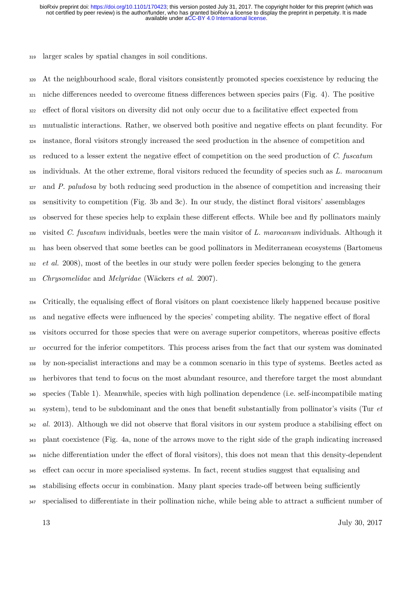<sup>319</sup> larger scales by spatial changes in soil conditions.

 At the neighbourhood scale, floral visitors consistently promoted species coexistence by reducing the niche differences needed to overcome fitness differences between species pairs (Fig. 4). The positive <sup>322</sup> effect of floral visitors on diversity did not only occur due to a facilitative effect expected from <sup>323</sup> mutualistic interactions. Rather, we observed both positive and negative effects on plant fecundity. For instance, floral visitors strongly increased the seed production in the absence of competition and <sup>325</sup> reduced to a lesser extent the negative effect of competition on the seed production of *C. fuscatum*  individuals. At the other extreme, floral visitors reduced the fecundity of species such as *L. marocanum* and *P. paludosa* by both reducing seed production in the absence of competition and increasing their sensitivity to competition (Fig. 3b and 3c). In our study, the distinct floral visitors' assemblages 329 observed for these species help to explain these different effects. While bee and fly pollinators mainly visited *C. fuscatum* individuals, beetles were the main visitor of *L. marocanum* individuals. Although it has been observed that some beetles can be good pollinators in Mediterranean ecosystems (Bartomeus *et al.* 2008), most of the beetles in our study were pollen feeder species belonging to the genera *Chrysomelidae* and *Melyridae* (Wäckers *et al.* 2007).

334 Critically, the equalising effect of floral visitors on plant coexistence likely happened because positive 335 and negative effects were influenced by the species' competing ability. The negative effect of floral 336 visitors occurred for those species that were on average superior competitors, whereas positive effects <sup>337</sup> occurred for the inferior competitors. This process arises from the fact that our system was dominated <sup>338</sup> by non-specialist interactions and may be a common scenario in this type of systems. Beetles acted as <sup>339</sup> herbivores that tend to focus on the most abundant resource, and therefore target the most abundant <sup>340</sup> species (Table 1). Meanwhile, species with high pollination dependence (i.e. self-incompatibile mating <sup>341</sup> system), tend to be subdominant and the ones that benefit substantially from pollinator's visits (Tur *et* 342 *al.* 2013). Although we did not observe that floral visitors in our system produce a stabilising effect on <sup>343</sup> plant coexistence (Fig. 4a, none of the arrows move to the right side of the graph indicating increased 344 niche differentiation under the effect of floral visitors), this does not mean that this density-dependent 345 effect can occur in more specialised systems. In fact, recent studies suggest that equalising and 346 stabilising effects occur in combination. Many plant species trade-off between being sufficiently 347 specialised to differentiate in their pollination niche, while being able to attract a sufficient number of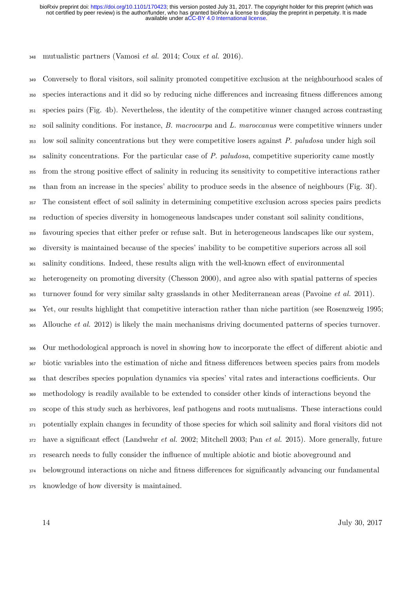mutualistic partners (Vamosi *et al.* 2014; Coux *et al.* 2016).

 Conversely to floral visitors, soil salinity promoted competitive exclusion at the neighbourhood scales of species interactions and it did so by reducing niche dierences and increasing fitness dierences among species pairs (Fig. 4b). Nevertheless, the identity of the competitive winner changed across contrasting soil salinity conditions. For instance, *B. macrocarpa* and *L. maroccanus* were competitive winners under low soil salinity concentrations but they were competitive losers against *P. paludosa* under high soil salinity concentrations. For the particular case of *P. paludosa*, competitive superiority came mostly <sup>355</sup> from the strong positive effect of salinity in reducing its sensitivity to competitive interactions rather than from an increase in the species' ability to produce seeds in the absence of neighbours (Fig. 3f). <sup>357</sup> The consistent effect of soil salinity in determining competitive exclusion across species pairs predicts reduction of species diversity in homogeneous landscapes under constant soil salinity conditions, favouring species that either prefer or refuse salt. But in heterogeneous landscapes like our system, diversity is maintained because of the species' inability to be competitive superiors across all soil salinity conditions. Indeed, these results align with the well-known effect of environmental heterogeneity on promoting diversity (Chesson 2000), and agree also with spatial patterns of species turnover found for very similar salty grasslands in other Mediterranean areas (Pavoine *et al.* 2011). Yet, our results highlight that competitive interaction rather than niche partition (see Rosenzweig 1995; Allouche *et al.* 2012) is likely the main mechanisms driving documented patterns of species turnover.

<sup>366</sup> Our methodological approach is novel in showing how to incorporate the effect of different abiotic and biotic variables into the estimation of niche and fitness dierences between species pairs from models that describes species population dynamics via species' vital rates and interactions coefficients. Our methodology is readily available to be extended to consider other kinds of interactions beyond the scope of this study such as herbivores, leaf pathogens and roots mutualisms. These interactions could potentially explain changes in fecundity of those species for which soil salinity and floral visitors did not 372 have a significant effect (Landwehr *et al.* 2002; Mitchell 2003; Pan *et al.* 2015). More generally, future research needs to fully consider the influence of multiple abiotic and biotic aboveground and belowground interactions on niche and fitness dierences for significantly advancing our fundamental knowledge of how diversity is maintained.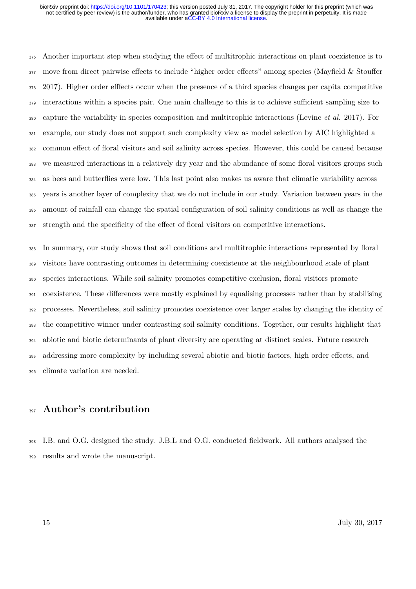376 Another important step when studying the effect of multitrophic interactions on plant coexistence is to 377 move from direct pairwise effects to include "higher order effects" among species (Mayfield & Stouffer 378 2017). Higher order effects occur when the presence of a third species changes per capita competitive 379 interactions within a species pair. One main challenge to this is to achieve sufficient sampling size to capture the variability in species composition and multitrophic interactions (Levine *et al.* 2017). For example, our study does not support such complexity view as model selection by AIC highlighted a 382 common effect of floral visitors and soil salinity across species. However, this could be caused because we measured interactions in a relatively dry year and the abundance of some floral visitors groups such as bees and butterflies were low. This last point also makes us aware that climatic variability across years is another layer of complexity that we do not include in our study. Variation between years in the amount of rainfall can change the spatial configuration of soil salinity conditions as well as change the 387 strength and the specificity of the effect of floral visitors on competitive interactions.

 In summary, our study shows that soil conditions and multitrophic interactions represented by floral visitors have contrasting outcomes in determining coexistence at the neighbourhood scale of plant species interactions. While soil salinity promotes competitive exclusion, floral visitors promote coexistence. These dierences were mostly explained by equalising processes rather than by stabilising processes. Nevertheless, soil salinity promotes coexistence over larger scales by changing the identity of the competitive winner under contrasting soil salinity conditions. Together, our results highlight that abiotic and biotic determinants of plant diversity are operating at distinct scales. Future research 395 addressing more complexity by including several abiotic and biotic factors, high order effects, and climate variation are needed.

### **Author's contribution**

 I.B. and O.G. designed the study. J.B.L and O.G. conducted fieldwork. All authors analysed the results and wrote the manuscript.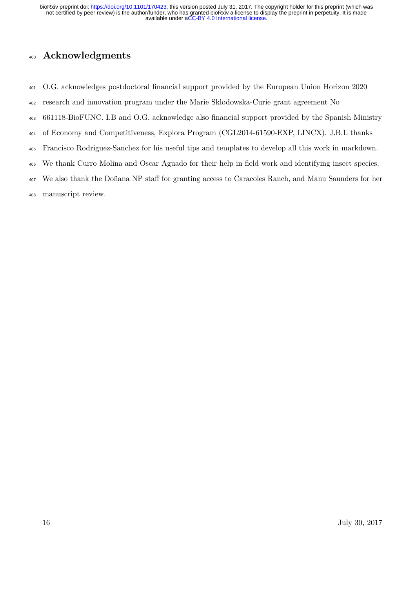# **Acknowledgments**

- O.G. acknowledges postdoctoral financial support provided by the European Union Horizon 2020
- research and innovation program under the Marie Sklodowska-Curie grant agreement No
- 661118-BioFUNC. I.B and O.G. acknowledge also financial support provided by the Spanish Ministry
- of Economy and Competitiveness, Explora Program (CGL2014-61590-EXP, LINCX). J.B.L thanks
- Francisco Rodriguez-Sanchez for his useful tips and templates to develop all this work in markdown.
- We thank Curro Molina and Oscar Aguado for their help in field work and identifying insect species.
- <sup>407</sup> We also thank the Doñana NP staff for granting access to Caracoles Ranch, and Manu Saunders for her
- manuscript review.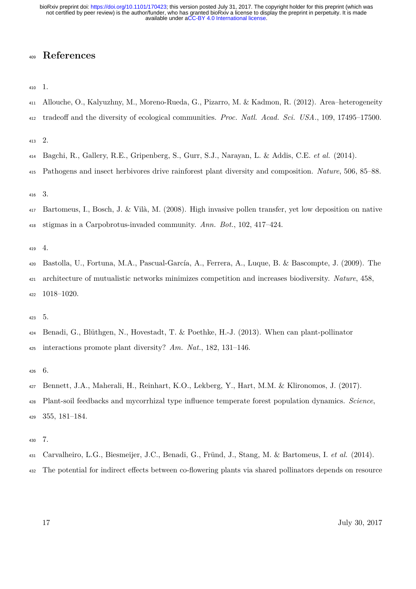# **References**

1.

- Allouche, O., Kalyuzhny, M., Moreno-Rueda, G., Pizarro, M. & Kadmon, R. (2012). Area–heterogeneity
- <sup>412</sup> tradeoff and the diversity of ecological communities. *Proc. Natl. Acad. Sci. USA.*, 109, 17495–17500.

2.

- Bagchi, R., Gallery, R.E., Gripenberg, S., Gurr, S.J., Narayan, L. & Addis, C.E. *et al.* (2014).
- Pathogens and insect herbivores drive rainforest plant diversity and composition. *Nature*, 506, 85–88.

3.

 Bartomeus, I., Bosch, J. & Vilà, M. (2008). High invasive pollen transfer, yet low deposition on native stigmas in a Carpobrotus-invaded community. *Ann. Bot.*, 102, 417–424.

4.

- Bastolla, U., Fortuna, M.A., Pascual-García, A., Ferrera, A., Luque, B. & Bascompte, J. (2009). The architecture of mutualistic networks minimizes competition and increases biodiversity. *Nature*, 458, 1018–1020.
- 5.
- Benadi, G., Blüthgen, N., Hovestadt, T. & Poethke, H.-J. (2013). When can plant-pollinator interactions promote plant diversity? *Am. Nat.*, 182, 131–146.

6.

- Bennett, J.A., Maherali, H., Reinhart, K.O., Lekberg, Y., Hart, M.M. & Klironomos, J. (2017).
- Plant-soil feedbacks and mycorrhizal type influence temperate forest population dynamics. *Science*, 355, 181–184.

7.

- Carvalheiro, L.G., Biesmeijer, J.C., Benadi, G., Fründ, J., Stang, M. & Bartomeus, I. *et al.* (2014).
- 432 The potential for indirect effects between co-flowering plants via shared pollinators depends on resource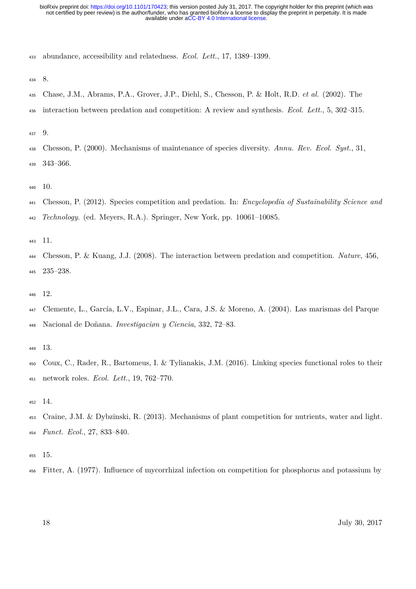abundance, accessibility and relatedness. *Ecol. Lett.*, 17, 1389–1399.

- 8.
- Chase, J.M., Abrams, P.A., Grover, J.P., Diehl, S., Chesson, P. & Holt, R.D. *et al.* (2002). The
- interaction between predation and competition: A review and synthesis. *Ecol. Lett.*, 5, 302–315.
- 9.
- Chesson, P. (2000). Mechanisms of maintenance of species diversity. *Annu. Rev. Ecol. Syst.*, 31, 343–366.
- 10.
- Chesson, P. (2012). Species competition and predation. In: *Encyclopedia of Sustainability Science and Technology*. (ed. Meyers, R.A.). Springer, New York, pp. 10061–10085.
- 11.
- Chesson, P. & Kuang, J.J. (2008). The interaction between predation and competition. *Nature*, 456, 235–238.
- 12.
- Clemente, L., García, L.V., Espinar, J.L., Cara, J.S. & Moreno, A. (2004). Las marismas del Parque Nacional de Doñana. *Investigaciøn y Ciencia*, 332, 72–83.
- 13.
- Coux, C., Rader, R., Bartomeus, I. & Tylianakis, J.M. (2016). Linking species functional roles to their network roles. *Ecol. Lett.*, 19, 762–770.
- 14.
- Craine, J.M. & Dybzinski, R. (2013). Mechanisms of plant competition for nutrients, water and light. *Funct. Ecol.*, 27, 833–840.
- 15.
- Fitter, A. (1977). Influence of mycorrhizal infection on competition for phosphorus and potassium by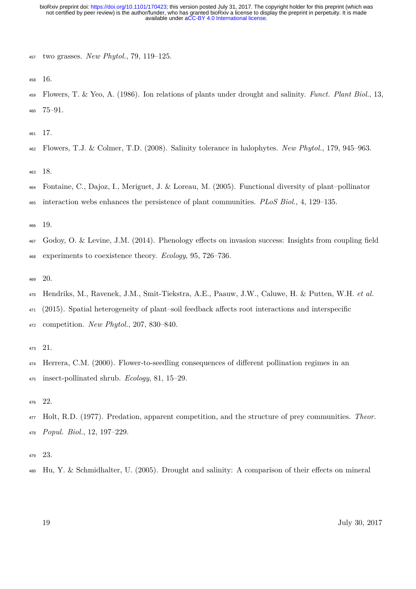two grasses. *New Phytol.*, 79, 119–125.

16.

 Flowers, T. & Yeo, A. (1986). Ion relations of plants under drought and salinity. *Funct. Plant Biol.*, 13, 75–91.

17.

Flowers, T.J. & Colmer, T.D. (2008). Salinity tolerance in halophytes. *New Phytol.*, 179, 945–963.

18.

- Fontaine, C., Dajoz, I., Meriguet, J. & Loreau, M. (2005). Functional diversity of plant–pollinator
- interaction webs enhances the persistence of plant communities. *PLoS Biol.*, 4, 129–135.

19.

- 467 Godoy, O. & Levine, J.M. (2014). Phenology effects on invasion success: Insights from coupling field experiments to coexistence theory. *Ecology*, 95, 726–736.
- 20.
- Hendriks, M., Ravenek, J.M., Smit-Tiekstra, A.E., Paauw, J.W., Caluwe, H. & Putten, W.H. *et al.*
- $_{471}$  (2015). Spatial heterogeneity of plant–soil feedback affects root interactions and interspecific
- competition. *New Phytol.*, 207, 830–840.

21.

- 474 Herrera, C.M. (2000). Flower-to-seedling consequences of different pollination regimes in an insect-pollinated shrub. *Ecology*, 81, 15–29.
- 22.
- Holt, R.D. (1977). Predation, apparent competition, and the structure of prey communities. *Theor. Popul. Biol.*, 12, 197–229.
- 23.
- $_{480}$  Hu, Y. & Schmidhalter, U. (2005). Drought and salinity: A comparison of their effects on mineral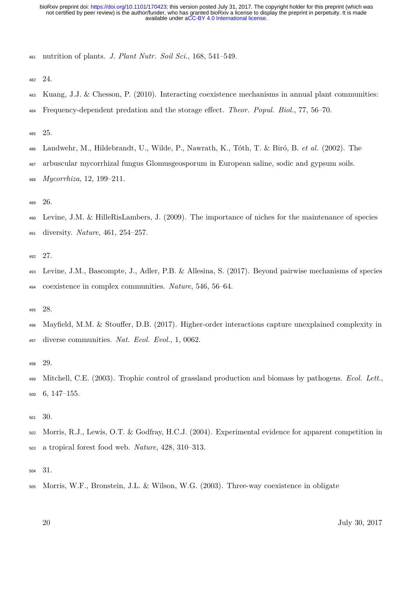nutrition of plants. *J. Plant Nutr. Soil Sci.*, 168, 541–549.

24.

- Kuang, J.J. & Chesson, P. (2010). Interacting coexistence mechanisms in annual plant communities:
- Frequency-dependent predation and the storage eect. *Theor. Popul. Biol.*, 77, 56–70.

25.

- Landwehr, M., Hildebrandt, U., Wilde, P., Nawrath, K., Tóth, T. & Biró, B. *et al.* (2002). The
- arbuscular mycorrhizal fungus Glomusgeosporum in European saline, sodic and gypsum soils.

*Mycorrhiza*, 12, 199–211.

26.

 Levine, J.M. & HilleRisLambers, J. (2009). The importance of niches for the maintenance of species diversity. *Nature*, 461, 254–257.

27.

 Levine, J.M., Bascompte, J., Adler, P.B. & Allesina, S. (2017). Beyond pairwise mechanisms of species coexistence in complex communities. *Nature*, 546, 56–64.

28.

496 Mayfield, M.M. & Stouffer, D.B. (2017). Higher-order interactions capture unexplained complexity in diverse communities. *Nat. Ecol. Evol.*, 1, 0062.

29.

 Mitchell, C.E. (2003). Trophic control of grassland production and biomass by pathogens. *Ecol. Lett.*, 6, 147–155.

30.

 Morris, R.J., Lewis, O.T. & Godfray, H.C.J. (2004). Experimental evidence for apparent competition in a tropical forest food web. *Nature*, 428, 310–313.

31.

Morris, W.F., Bronstein, J.L. & Wilson, W.G. (2003). Three-way coexistence in obligate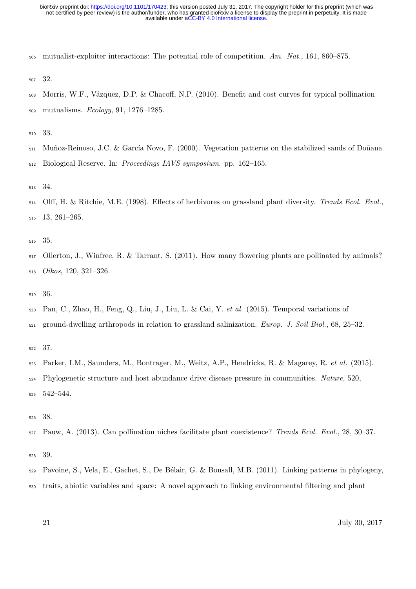mutualist-exploiter interactions: The potential role of competition. *Am. Nat.*, 161, 860–875.

32.

508 Morris, W.F., Vázquez, D.P. & Chacoff, N.P. (2010). Benefit and cost curves for typical pollination mutualisms. *Ecology*, 91, 1276–1285.

33.

Muñoz-Reinoso, J.C. & García Novo, F. (2000). Vegetation patterns on the stabilized sands of Doñana

Biological Reserve. In: *Proceedings IAVS symposium*. pp. 162–165.

34.

514 Olff, H. & Ritchie, M.E. (1998). Effects of herbivores on grassland plant diversity. *Trends Ecol. Evol.*, 13, 261–265.

35.

 Ollerton, J., Winfree, R. & Tarrant, S. (2011). How many flowering plants are pollinated by animals? *Oikos*, 120, 321–326.

36.

Pan, C., Zhao, H., Feng, Q., Liu, J., Liu, L. & Cai, Y. *et al.* (2015). Temporal variations of

ground-dwelling arthropods in relation to grassland salinization. *Europ. J. Soil Biol.*, 68, 25–32.

37.

Parker, I.M., Saunders, M., Bontrager, M., Weitz, A.P., Hendricks, R. & Magarey, R. *et al.* (2015).

Phylogenetic structure and host abundance drive disease pressure in communities. *Nature*, 520,

542–544.

38.

Pauw, A. (2013). Can pollination niches facilitate plant coexistence? *Trends Ecol. Evol.*, 28, 30–37.

39.

Pavoine, S., Vela, E., Gachet, S., De Bélair, G. & Bonsall, M.B. (2011). Linking patterns in phylogeny,

traits, abiotic variables and space: A novel approach to linking environmental filtering and plant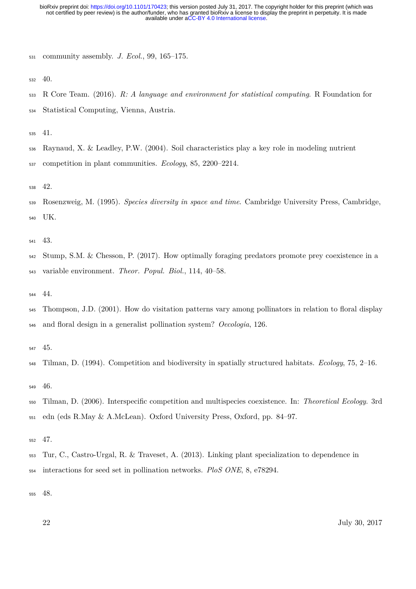community assembly. *J. Ecol.*, 99, 165–175.

40.

 R Core Team. (2016). *R: A language and environment for statistical computing*. R Foundation for Statistical Computing, Vienna, Austria.

41.

Raynaud, X. & Leadley, P.W. (2004). Soil characteristics play a key role in modeling nutrient

competition in plant communities. *Ecology*, 85, 2200–2214.

42.

 Rosenzweig, M. (1995). *Species diversity in space and time*. Cambridge University Press, Cambridge, UK.

43.

- Stump, S.M. & Chesson, P. (2017). How optimally foraging predators promote prey coexistence in a variable environment. *Theor. Popul. Biol.*, 114, 40–58.
- 44.
- Thompson, J.D. (2001). How do visitation patterns vary among pollinators in relation to floral display and floral design in a generalist pollination system? *Oecologia*, 126.
- 45.
- Tilman, D. (1994). Competition and biodiversity in spatially structured habitats. *Ecology*, 75, 2–16.

46.

- Tilman, D. (2006). Interspecific competition and multispecies coexistence. In: *Theoretical Ecology*. 3rd edn (eds R.May & A.McLean). Oxford University Press, Oxford, pp. 84–97.
- 47.
- Tur, C., Castro-Urgal, R. & Traveset, A. (2013). Linking plant specialization to dependence in interactions for seed set in pollination networks. *PloS ONE*, 8, e78294.

48.

22 July 30, 2017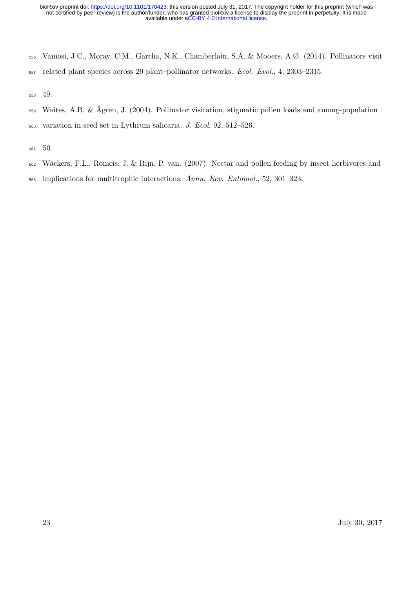- Vamosi, J.C., Moray, C.M., Garcha, N.K., Chamberlain, S.A. & Mooers, A.Ø. (2014). Pollinators visit
- related plant species across 29 plant–pollinator networks. *Ecol. Evol.*, 4, 2303–2315.

49.

- Waites, A.R. & Ågren, J. (2004). Pollinator visitation, stigmatic pollen loads and among-population
- variation in seed set in Lythrum salicaria. *J. Ecol*, 92, 512–526.
- 50.
- Wäckers, F.L., Romeis, J. & Rijn, P. van. (2007). Nectar and pollen feeding by insect herbivores and
- implications for multitrophic interactions. *Annu. Rev. Entomol.*, 52, 301–323.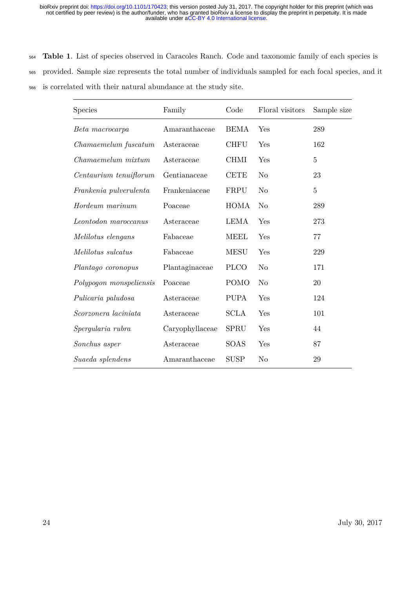<sup>564</sup> **Table 1**. List of species observed in Caracoles Ranch. Code and taxonomic family of each species is <sup>565</sup> provided. Sample size represents the total number of individuals sampled for each focal species, and it <sup>566</sup> is correlated with their natural abundance at the study site.

| Species                 | Family          | Code        | Floral visitors | Sample size |
|-------------------------|-----------------|-------------|-----------------|-------------|
| Beta macrocarpa         | Amaranthaceae   | <b>BEMA</b> | Yes             | 289         |
| Chamaemelum fuscatum    | Asteraceae      | <b>CHFU</b> | Yes             | 162         |
| Chamaemelum mixtum      | Asteraceae      | <b>CHMI</b> | Yes             | $\bf 5$     |
| Centaurium tenuiflorum  | Gentianaceae    | <b>CETE</b> | N <sub>o</sub>  | 23          |
| Frankenia pulverulenta  | Frankeniaceae   | FRPU        | N <sub>o</sub>  | $\bf 5$     |
| Hordeum marinum         | Poaceae         | <b>HOMA</b> | N <sub>o</sub>  | 289         |
| Leontodon maroccanus    | Asteraceae      | <b>LEMA</b> | Yes             | 273         |
| Melilotus elengans      | Fabaceae        | <b>MEEL</b> | Yes             | 77          |
| Melilotus sulcatus      | Fabaceae        | <b>MESU</b> | Yes             | 229         |
| Plantago coronopus      | Plantaginaceae  | <b>PLCO</b> | N <sub>o</sub>  | 171         |
| Polypogon monspeliensis | Poaceae         | <b>POMO</b> | N <sub>o</sub>  | 20          |
| Pulicaria paludosa      | Asteraceae      | <b>PUPA</b> | Yes             | 124         |
| Scorzonera laciniata    | Asteraceae      | <b>SCLA</b> | Yes             | 101         |
| Spergularia rubra       | Caryophyllaceae | <b>SPRU</b> | Yes             | 44          |
| Sonchus asper           | Asteraceae      | SOAS        | Yes             | 87          |
| Suaeda splendens        | Amaranthaceae   | <b>SUSP</b> | No              | 29          |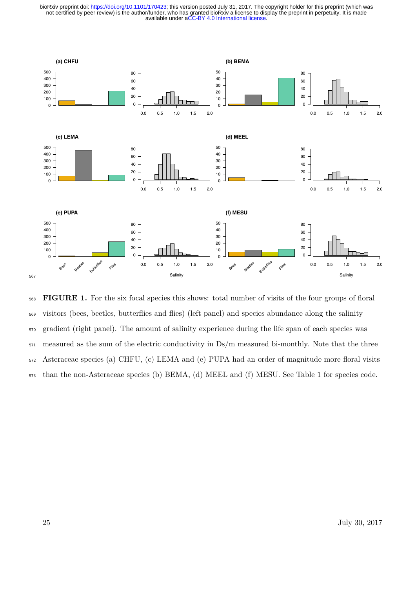

 **FIGURE 1.** For the six focal species this shows: total number of visits of the four groups of floral visitors (bees, beetles, butterflies and flies) (left panel) and species abundance along the salinity gradient (right panel). The amount of salinity experience during the life span of each species was measured as the sum of the electric conductivity in Ds/m measured bi-monthly. Note that the three Asteraceae species (a) CHFU, (c) LEMA and (e) PUPA had an order of magnitude more floral visits than the non-Asteraceae species (b) BEMA, (d) MEEL and (f) MESU. See Table 1 for species code.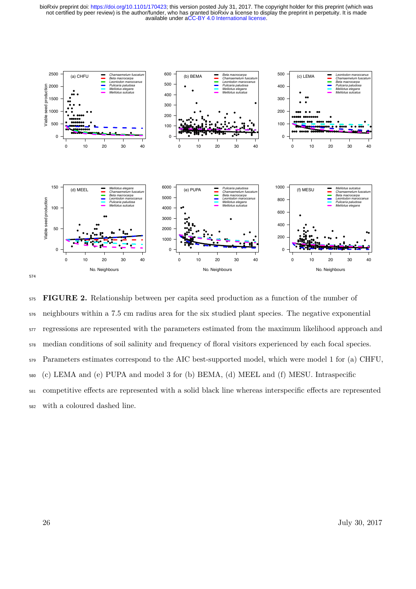available under [aCC-BY 4.0 International license.](http://creativecommons.org/licenses/by/4.0/) not certified by peer review) is the author/funder, who has granted bioRxiv a license to display the preprint in perpetuity. It is made bioRxiv preprint doi: [https://doi.org/10.1101/170423;](https://doi.org/10.1101/170423) this version posted July 31, 2017. The copyright holder for this preprint (which was



574

<sup>575</sup> **FIGURE 2.** Relationship between per capita seed production as a function of the number of <sup>576</sup> neighbours within a 7.5 cm radius area for the six studied plant species. The negative exponential <sup>577</sup> regressions are represented with the parameters estimated from the maximum likelihood approach and <sup>578</sup> median conditions of soil salinity and frequency of floral visitors experienced by each focal species. <sup>579</sup> Parameters estimates correspond to the AIC best-supported model, which were model 1 for (a) CHFU, <sup>580</sup> (c) LEMA and (e) PUPA and model 3 for (b) BEMA, (d) MEEL and (f) MESU. Intraspecific 581 competitive effects are represented with a solid black line whereas interspecific effects are represented <sup>582</sup> with a coloured dashed line.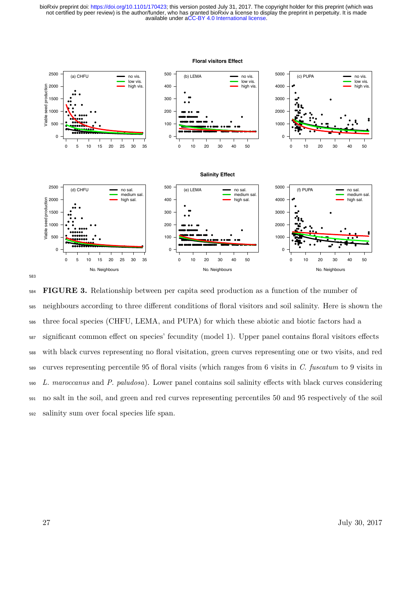



 **FIGURE 3.** Relationship between per capita seed production as a function of the number of neighbours according to three dierent conditions of floral visitors and soil salinity. Here is shown the three focal species (CHFU, LEMA, and PUPA) for which these abiotic and biotic factors had a significant common effect on species' fecundity (model 1). Upper panel contains floral visitors effects with black curves representing no floral visitation, green curves representing one or two visits, and red curves representing percentile 95 of floral visits (which ranges from 6 visits in *C. fuscatum* to 9 visits in *L. maroccanus* and *P. paludosa*). Lower panel contains soil salinity eects with black curves considering no salt in the soil, and green and red curves representing percentiles 50 and 95 respectively of the soil salinity sum over focal species life span.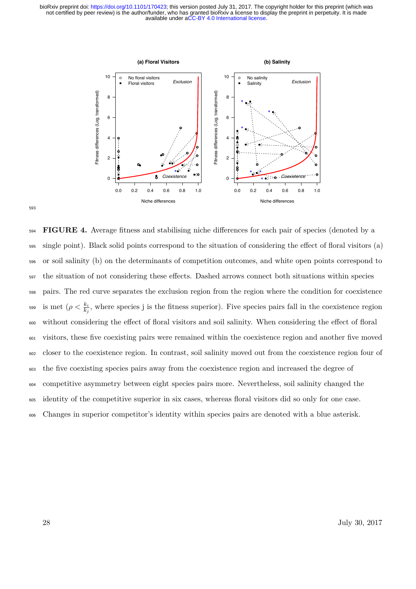

 **FIGURE 4.** Average fitness and stabilising niche dierences for each pair of species (denoted by a single point). Black solid points correspond to the situation of considering the eect of floral visitors (a) or soil salinity (b) on the determinants of competition outcomes, and white open points correspond to <sub>597</sub> the situation of not considering these effects. Dashed arrows connect both situations within species pairs. The red curve separates the exclusion region from the region where the condition for coexistence is met  $(\rho < \frac{k_i}{k_j})$ , where species j is the fitness superior). Five species pairs fall in the coexistence region 600 without considering the effect of floral visitors and soil salinity. When considering the effect of floral visitors, these five coexisting pairs were remained within the coexistence region and another five moved closer to the coexistence region. In contrast, soil salinity moved out from the coexistence region four of the five coexisting species pairs away from the coexistence region and increased the degree of competitive asymmetry between eight species pairs more. Nevertheless, soil salinity changed the identity of the competitive superior in six cases, whereas floral visitors did so only for one case. Changes in superior competitor's identity within species pairs are denoted with a blue asterisk.

593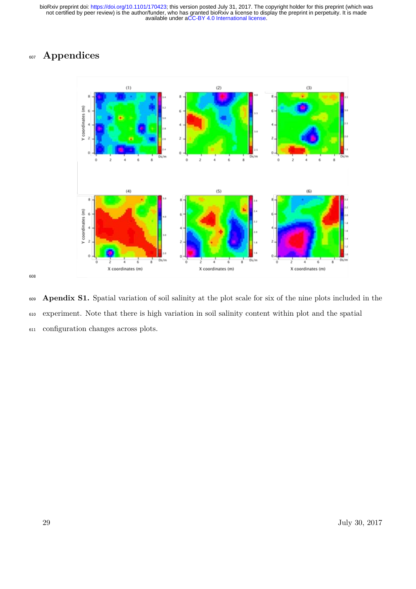# **Appendices**



 **Apendix S1.** Spatial variation of soil salinity at the plot scale for six of the nine plots included in the experiment. Note that there is high variation in soil salinity content within plot and the spatial configuration changes across plots.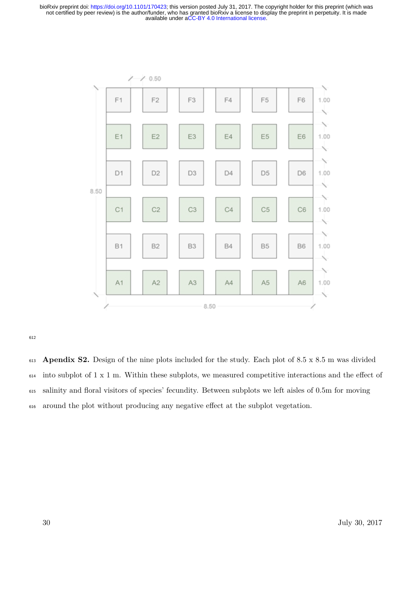

612

 **Apendix S2.** Design of the nine plots included for the study. Each plot of 8.5 x 8.5 m was divided into subplot of 1 x 1 m. Within these subplots, we measured competitive interactions and the effect of salinity and floral visitors of species' fecundity. Between subplots we left aisles of 0.5m for moving <sup>616</sup> around the plot without producing any negative effect at the subplot vegetation.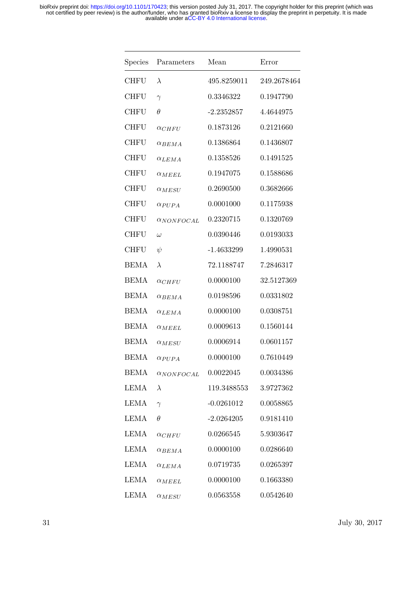| Species     | Parameters               | Mean         | Error       |
|-------------|--------------------------|--------------|-------------|
| <b>CHFU</b> | $\lambda$                | 495.8259011  | 249.2678464 |
| <b>CHFU</b> | $\gamma$                 | 0.3346322    | 0.1947790   |
| <b>CHFU</b> | $\theta$                 | $-2.2352857$ | 4.4644975   |
| <b>CHFU</b> | $\alpha_{CHFU}$          | 0.1873126    | 0.2121660   |
| <b>CHFU</b> | $\alpha_{BEMA}$          | 0.1386864    | 0.1436807   |
| <b>CHFU</b> | $\alpha_{LEMA}$          | 0.1358526    | 0.1491525   |
| <b>CHFU</b> | $\alpha_{MEEL}$          | 0.1947075    | 0.1588686   |
| <b>CHFU</b> | $\alpha_{MESU}$          | 0.2690500    | 0.3682666   |
| <b>CHFU</b> | $\alpha_{PUPA}$          | 0.0001000    | 0.1175938   |
| <b>CHFU</b> | $\alpha_{NONFOCAL}$      | 0.2320715    | 0.1320769   |
| <b>CHFU</b> | $\omega$                 | 0.0390446    | 0.0193033   |
| <b>CHFU</b> | $\psi$                   | $-1.4633299$ | 1.4990531   |
| <b>BEMA</b> | $\lambda$                | 72.1188747   | 7.2846317   |
| <b>BEMA</b> | $\alpha_{CHFU}$          | 0.0000100    | 32.5127369  |
| <b>BEMA</b> | $\alpha_{BEMA}$          | 0.0198596    | 0.0331802   |
| <b>BEMA</b> | $\alpha_{LEMA}$          | 0.0000100    | 0.0308751   |
| <b>BEMA</b> | $\alpha_{MEEL}$          | 0.0009613    | 0.1560144   |
| <b>BEMA</b> | $\alpha_{MESU}$          | 0.0006914    | 0.0601157   |
| <b>BEMA</b> | $\alpha$ PUPA            | 0.0000100    | 0.7610449   |
| <b>BEMA</b> | $\alpha_{NONFOCAL}$      | 0.0022045    | 0.0034386   |
| LEMA        | $\lambda$                | 119.3488553  | 3.9727362   |
| LEMA        | $\gamma$                 | $-0.0261012$ | 0.0058865   |
| <b>LEMA</b> | $\theta$                 | $-2.0264205$ | 0.9181410   |
| <b>LEMA</b> | $\alpha_{CHFU}$          | 0.0266545    | 5.9303647   |
| <b>LEMA</b> | $\alpha$ <sub>BEMA</sub> | 0.0000100    | 0.0286640   |
| LEMA        | $\alpha_{LEMA}$          | 0.0719735    | 0.0265397   |
| <b>LEMA</b> | $\alpha_{MEEL}$          | 0.0000100    | 0.1663380   |
| <b>LEMA</b> | $\alpha_{MESU}$          | 0.0563558    | 0.0542640   |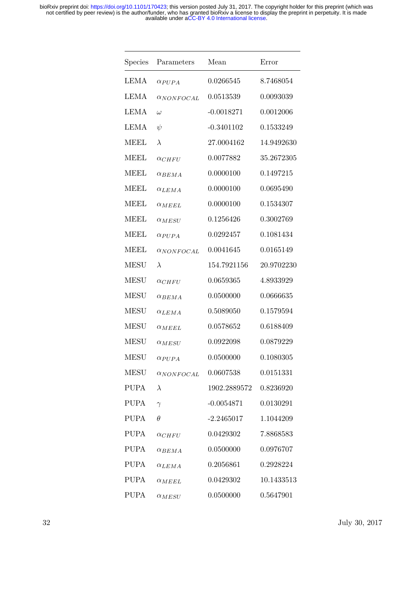| Species     | Parameters          | Mean         | Error      |
|-------------|---------------------|--------------|------------|
| LEMA        | $\alpha_{PUPA}$     | 0.0266545    | 8.7468054  |
| <b>LEMA</b> | $\alpha_{NONFOCAL}$ | 0.0513539    | 0.0093039  |
| <b>LEMA</b> | $\omega$            | $-0.0018271$ | 0.0012006  |
| <b>LEMA</b> | $\psi$              | $-0.3401102$ | 0.1533249  |
| <b>MEEL</b> | $\lambda$           | 27.0004162   | 14.9492630 |
| MEEL        | $\alpha_{CHFU}$     | 0.0077882    | 35.2672305 |
| <b>MEEL</b> | $\alpha_{BEMA}$     | 0.0000100    | 0.1497215  |
| <b>MEEL</b> | $\alpha_{LEMA}$     | 0.0000100    | 0.0695490  |
| <b>MEEL</b> | $\alpha_{MEEL}$     | 0.0000100    | 0.1534307  |
| <b>MEEL</b> | $\alpha_{MESU}$     | 0.1256426    | 0.3002769  |
| <b>MEEL</b> | $\alpha$ PUPA       | 0.0292457    | 0.1081434  |
| <b>MEEL</b> | $\alpha_{NONFOCAL}$ | 0.0041645    | 0.0165149  |
| <b>MESU</b> | $\lambda$           | 154.7921156  | 20.9702230 |
| <b>MESU</b> | $\alpha_{CHFU}$     | 0.0659365    | 4.8933929  |
| <b>MESU</b> | $\alpha_{BEMA}$     | 0.0500000    | 0.0666635  |
| <b>MESU</b> | $\alpha_{LEMA}$     | 0.5089050    | 0.1579594  |
| <b>MESU</b> | $\alpha_{MEEL}$     | 0.0578652    | 0.6188409  |
| <b>MESU</b> | $\alpha_{MESU}$     | 0.0922098    | 0.0879229  |
| <b>MESU</b> | $\alpha_{PUPA}$     | 0.0500000    | 0.1080305  |
| <b>MESU</b> | $\alpha_{NONFOCAL}$ | 0.0607538    | 0.0151331  |
| <b>PUPA</b> | $\lambda$           | 1902.2889572 | 0.8236920  |
| <b>PUPA</b> | $\gamma$            | $-0.0054871$ | 0.0130291  |
| <b>PUPA</b> | $\theta$            | $-2.2465017$ | 1.1044209  |
| <b>PUPA</b> | $\alpha_{CHFU}$     | 0.0429302    | 7.8868583  |
| <b>PUPA</b> | $\alpha_{BEMA}$     | 0.0500000    | 0.0976707  |
| <b>PUPA</b> | $\alpha_{LEMA}$     | 0.2056861    | 0.2928224  |
| <b>PUPA</b> | $\alpha_{MEEL}$     | 0.0429302    | 10.1433513 |
| <b>PUPA</b> | $\alpha_{MESU}$     | 0.0500000    | 0.5647901  |

32 July 30, 2017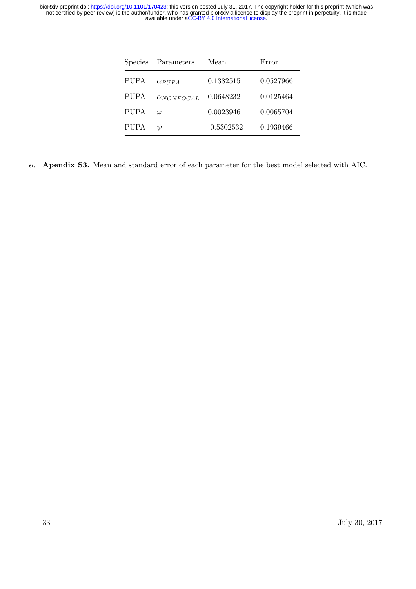| Parameters            | Mean         | Error     |
|-----------------------|--------------|-----------|
| $\alpha$ <i>PIIPA</i> | 0.1382515    | 0.0527966 |
| $\alpha_{NONFOCAL}$   | 0.0648232    | 0.0125464 |
| $\iota$               | 0.0023946    | 0.0065704 |
| V                     | $-0.5302532$ | 0.1939466 |
|                       |              |           |

<sup>617</sup> **Apendix S3.** Mean and standard error of each parameter for the best model selected with AIC.